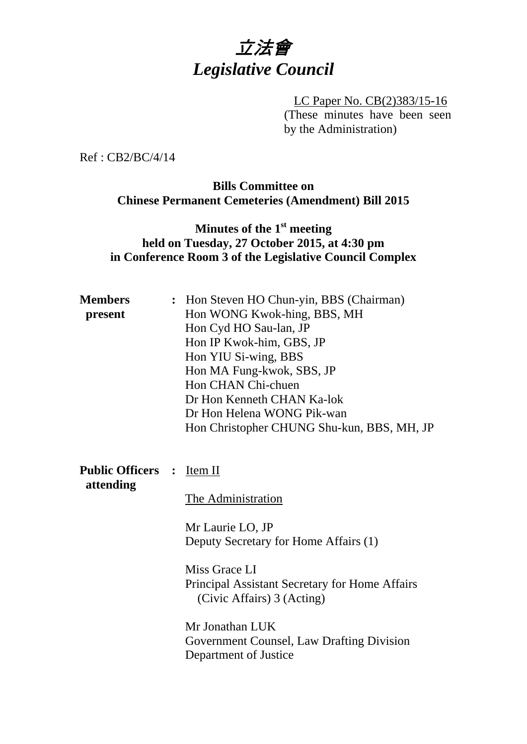

 LC Paper No. CB(2)383/15-16 (These minutes have been seen by the Administration)

Ref : CB2/BC/4/14

## **Bills Committee on Chinese Permanent Cemeteries (Amendment) Bill 2015**

# **Minutes of the 1st meeting held on Tuesday, 27 October 2015, at 4:30 pm in Conference Room 3 of the Legislative Council Complex**

| <b>Members</b><br>present             | : Hon Steven HO Chun-yin, BBS (Chairman)<br>Hon WONG Kwok-hing, BBS, MH<br>Hon Cyd HO Sau-lan, JP<br>Hon IP Kwok-him, GBS, JP<br>Hon YIU Si-wing, BBS<br>Hon MA Fung-kwok, SBS, JP<br>Hon CHAN Chi-chuen<br>Dr Hon Kenneth CHAN Ka-lok<br>Dr Hon Helena WONG Pik-wan<br>Hon Christopher CHUNG Shu-kun, BBS, MH, JP |
|---------------------------------------|--------------------------------------------------------------------------------------------------------------------------------------------------------------------------------------------------------------------------------------------------------------------------------------------------------------------|
| <b>Public Officers :</b><br>attending | Item II<br>The Administration<br>Mr Laurie LO, JP<br>Deputy Secretary for Home Affairs (1)<br>Miss Grace LI<br>Principal Assistant Secretary for Home Affairs<br>(Civic Affairs) 3 (Acting)<br>Mr Jonathan LUK<br>Government Counsel, Law Drafting Division<br>Department of Justice                               |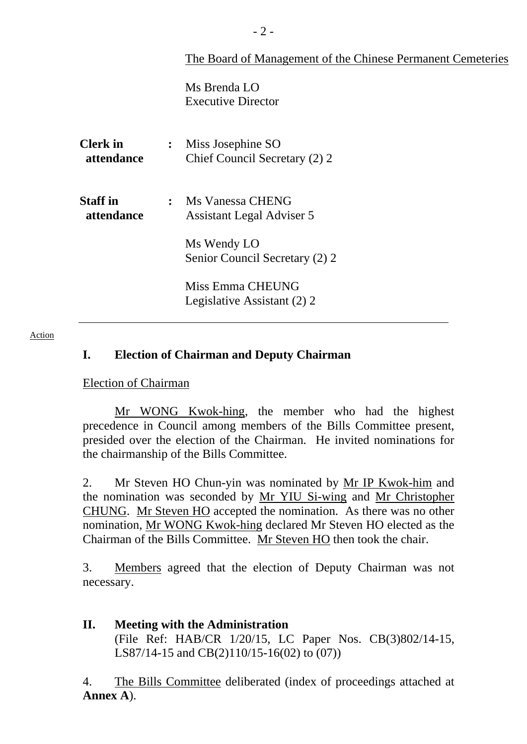|  | The Board of Management of the Chinese Permanent Cemeteries |  |  |  |
|--|-------------------------------------------------------------|--|--|--|
|--|-------------------------------------------------------------|--|--|--|

Ms Brenda LO Executive Director

| Clerk in<br><b>attendance</b> | $\ddot{\cdot}$ | Miss Josephine SO<br>Chief Council Secretary (2) 2 |
|-------------------------------|----------------|----------------------------------------------------|
| <b>Staff in</b><br>attendance | $\mathbf{L}$   | Ms Vanessa CHENG<br>Assistant Legal Adviser 5      |
|                               |                | Ms Wendy LO<br>Senior Council Secretary (2) 2      |
|                               |                | Miss Emma CHEUNG<br>Legislative Assistant (2) 2    |

#### Action

# **I. Election of Chairman and Deputy Chairman**

#### Election of Chairman

 Mr WONG Kwok-hing, the member who had the highest precedence in Council among members of the Bills Committee present, presided over the election of the Chairman. He invited nominations for the chairmanship of the Bills Committee.

2. Mr Steven HO Chun-yin was nominated by Mr IP Kwok-him and the nomination was seconded by Mr YIU Si-wing and Mr Christopher CHUNG. Mr Steven HO accepted the nomination. As there was no other nomination, Mr WONG Kwok-hing declared Mr Steven HO elected as the Chairman of the Bills Committee. Mr Steven HO then took the chair.

3. Members agreed that the election of Deputy Chairman was not necessary.

**II. Meeting with the Administration**  (File Ref: HAB/CR 1/20/15, LC Paper Nos. CB(3)802/14-15, LS87/14-15 and CB(2)110/15-16(02) to (07))

4. The Bills Committee deliberated (index of proceedings attached at **Annex A**).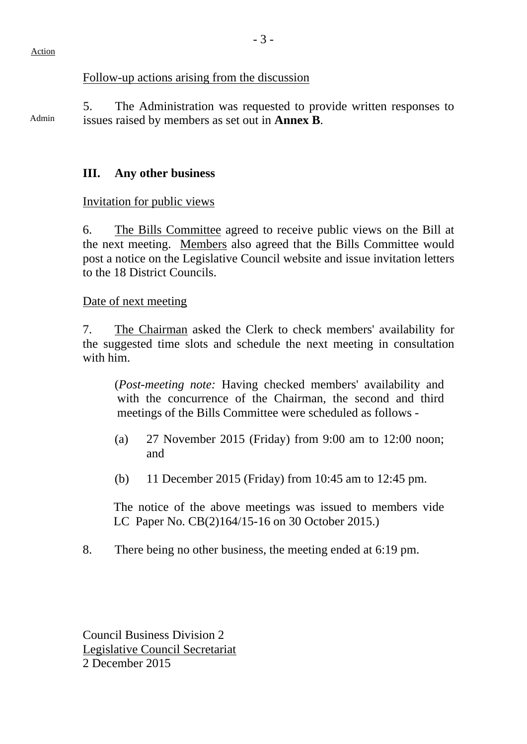Action

### Follow-up actions arising from the discussion

Admin 5. The Administration was requested to provide written responses to issues raised by members as set out in **Annex B**.

# **III. Any other business**

#### Invitation for public views

6. The Bills Committee agreed to receive public views on the Bill at the next meeting. Members also agreed that the Bills Committee would post a notice on the Legislative Council website and issue invitation letters to the 18 District Councils.

#### Date of next meeting

7. The Chairman asked the Clerk to check members' availability for the suggested time slots and schedule the next meeting in consultation with him.

(*Post-meeting note:* Having checked members' availability and with the concurrence of the Chairman, the second and third meetings of the Bills Committee were scheduled as follows -

- (a) 27 November 2015 (Friday) from 9:00 am to 12:00 noon; and
- (b) 11 December 2015 (Friday) from 10:45 am to 12:45 pm.

The notice of the above meetings was issued to members vide LC Paper No. CB(2)164/15-16 on 30 October 2015.)

8. There being no other business, the meeting ended at 6:19 pm.

Council Business Division 2 Legislative Council Secretariat 2 December 2015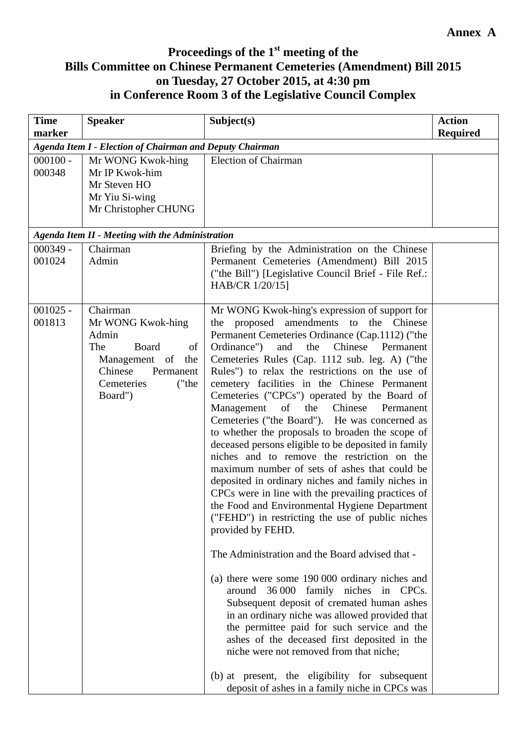# **Proceedings of the 1st meeting of the Bills Committee on Chinese Permanent Cemeteries (Amendment) Bill 2015 on Tuesday, 27 October 2015, at 4:30 pm in Conference Room 3 of the Legislative Council Complex**

| <b>Time</b><br>marker | <b>Speaker</b>                                                                                                                                 | Subject(s)                                                                                                                                                                                                                                                                                                                                                                                                                                                                                                                                                                                                                                                                                                                                                                                                                                                                                                                                                                                                                                                                                                                                                                                                                                                                                                                                                                                                                                        | <b>Action</b><br><b>Required</b> |
|-----------------------|------------------------------------------------------------------------------------------------------------------------------------------------|---------------------------------------------------------------------------------------------------------------------------------------------------------------------------------------------------------------------------------------------------------------------------------------------------------------------------------------------------------------------------------------------------------------------------------------------------------------------------------------------------------------------------------------------------------------------------------------------------------------------------------------------------------------------------------------------------------------------------------------------------------------------------------------------------------------------------------------------------------------------------------------------------------------------------------------------------------------------------------------------------------------------------------------------------------------------------------------------------------------------------------------------------------------------------------------------------------------------------------------------------------------------------------------------------------------------------------------------------------------------------------------------------------------------------------------------------|----------------------------------|
|                       | <b>Agenda Item I - Election of Chairman and Deputy Chairman</b>                                                                                |                                                                                                                                                                                                                                                                                                                                                                                                                                                                                                                                                                                                                                                                                                                                                                                                                                                                                                                                                                                                                                                                                                                                                                                                                                                                                                                                                                                                                                                   |                                  |
| $000100 -$<br>000348  | Mr WONG Kwok-hing<br>Mr IP Kwok-him<br>Mr Steven HO<br>Mr Yiu Si-wing<br>Mr Christopher CHUNG                                                  | <b>Election of Chairman</b>                                                                                                                                                                                                                                                                                                                                                                                                                                                                                                                                                                                                                                                                                                                                                                                                                                                                                                                                                                                                                                                                                                                                                                                                                                                                                                                                                                                                                       |                                  |
|                       | <b>Agenda Item II - Meeting with the Administration</b>                                                                                        |                                                                                                                                                                                                                                                                                                                                                                                                                                                                                                                                                                                                                                                                                                                                                                                                                                                                                                                                                                                                                                                                                                                                                                                                                                                                                                                                                                                                                                                   |                                  |
| $000349 -$<br>001024  | Chairman<br>Admin                                                                                                                              | Briefing by the Administration on the Chinese<br>Permanent Cemeteries (Amendment) Bill 2015<br>("the Bill") [Legislative Council Brief - File Ref.:<br>HAB/CR 1/20/15]                                                                                                                                                                                                                                                                                                                                                                                                                                                                                                                                                                                                                                                                                                                                                                                                                                                                                                                                                                                                                                                                                                                                                                                                                                                                            |                                  |
| $001025 -$<br>001813  | Chairman<br>Mr WONG Kwok-hing<br>Admin<br>The<br>Board<br>of<br>the<br>Management of<br>Chinese<br>Permanent<br>Cemeteries<br>("the<br>Board") | Mr WONG Kwok-hing's expression of support for<br>the proposed amendments to<br>the<br>Chinese<br>Permanent Cemeteries Ordinance (Cap.1112) ("the<br>Ordinance")<br>and the Chinese Permanent<br>Cemeteries Rules (Cap. 1112 sub. leg. A) ("the<br>Rules") to relax the restrictions on the use of<br>cemetery facilities in the Chinese Permanent<br>Cemeteries ("CPCs") operated by the Board of<br>Management<br>of<br>Chinese<br>the<br>Permanent<br>Cemeteries ("the Board"). He was concerned as<br>to whether the proposals to broaden the scope of<br>deceased persons eligible to be deposited in family<br>niches and to remove the restriction on the<br>maximum number of sets of ashes that could be<br>deposited in ordinary niches and family niches in<br>CPCs were in line with the prevailing practices of<br>the Food and Environmental Hygiene Department<br>("FEHD") in restricting the use of public niches<br>provided by FEHD.<br>The Administration and the Board advised that -<br>(a) there were some 190 000 ordinary niches and<br>around 36 000 family niches in CPCs.<br>Subsequent deposit of cremated human ashes<br>in an ordinary niche was allowed provided that<br>the permittee paid for such service and the<br>ashes of the deceased first deposited in the<br>niche were not removed from that niche;<br>(b) at present, the eligibility for subsequent<br>deposit of ashes in a family niche in CPCs was |                                  |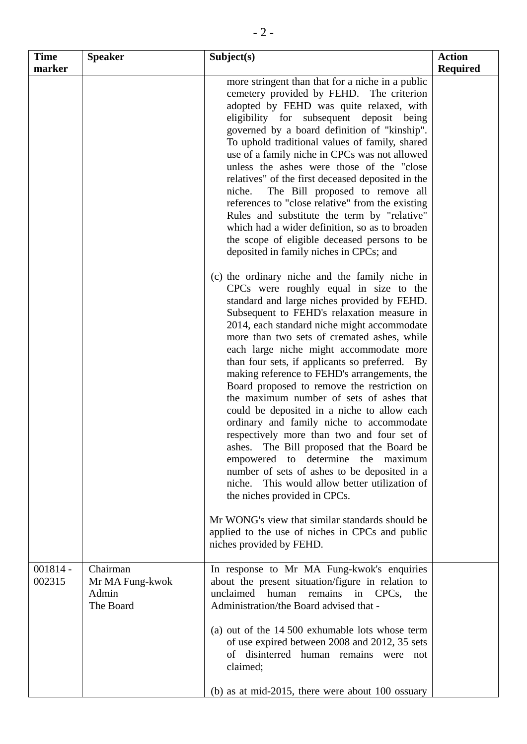| <b>Time</b>          | <b>Speaker</b>                                    | Subject(s)                                                                                                                                                                                                                                                                                                                                                                                                                                                                                                                                                                                                                                                                                                                                                                                                                                                                                                                                                                                            | <b>Action</b>   |
|----------------------|---------------------------------------------------|-------------------------------------------------------------------------------------------------------------------------------------------------------------------------------------------------------------------------------------------------------------------------------------------------------------------------------------------------------------------------------------------------------------------------------------------------------------------------------------------------------------------------------------------------------------------------------------------------------------------------------------------------------------------------------------------------------------------------------------------------------------------------------------------------------------------------------------------------------------------------------------------------------------------------------------------------------------------------------------------------------|-----------------|
| marker               |                                                   |                                                                                                                                                                                                                                                                                                                                                                                                                                                                                                                                                                                                                                                                                                                                                                                                                                                                                                                                                                                                       | <b>Required</b> |
|                      |                                                   | more stringent than that for a niche in a public<br>cemetery provided by FEHD. The criterion<br>adopted by FEHD was quite relaxed, with<br>eligibility for subsequent deposit being<br>governed by a board definition of "kinship".<br>To uphold traditional values of family, shared<br>use of a family niche in CPCs was not allowed<br>unless the ashes were those of the "close"<br>relatives" of the first deceased deposited in the<br>The Bill proposed to remove all<br>niche.<br>references to "close relative" from the existing<br>Rules and substitute the term by "relative"<br>which had a wider definition, so as to broaden<br>the scope of eligible deceased persons to be<br>deposited in family niches in CPCs; and                                                                                                                                                                                                                                                                |                 |
|                      |                                                   | (c) the ordinary niche and the family niche in<br>CPCs were roughly equal in size to the<br>standard and large niches provided by FEHD.<br>Subsequent to FEHD's relaxation measure in<br>2014, each standard niche might accommodate<br>more than two sets of cremated ashes, while<br>each large niche might accommodate more<br>than four sets, if applicants so preferred. By<br>making reference to FEHD's arrangements, the<br>Board proposed to remove the restriction on<br>the maximum number of sets of ashes that<br>could be deposited in a niche to allow each<br>ordinary and family niche to accommodate<br>respectively more than two and four set of<br>ashes. The Bill proposed that the Board be<br>empowered to determine the<br>maximum<br>number of sets of ashes to be deposited in a<br>This would allow better utilization of<br>niche.<br>the niches provided in CPCs.<br>Mr WONG's view that similar standards should be<br>applied to the use of niches in CPCs and public |                 |
|                      |                                                   | niches provided by FEHD.                                                                                                                                                                                                                                                                                                                                                                                                                                                                                                                                                                                                                                                                                                                                                                                                                                                                                                                                                                              |                 |
| $001814 -$<br>002315 | Chairman<br>Mr MA Fung-kwok<br>Admin<br>The Board | In response to Mr MA Fung-kwok's enquiries<br>about the present situation/figure in relation to<br>unclaimed human<br>remains in CPCs,<br>the<br>Administration/the Board advised that -<br>(a) out of the 14 500 exhumable lots whose term<br>of use expired between 2008 and 2012, 35 sets<br>of disinterred human remains were<br>not<br>claimed;<br>(b) as at mid-2015, there were about $100$ ossuary                                                                                                                                                                                                                                                                                                                                                                                                                                                                                                                                                                                            |                 |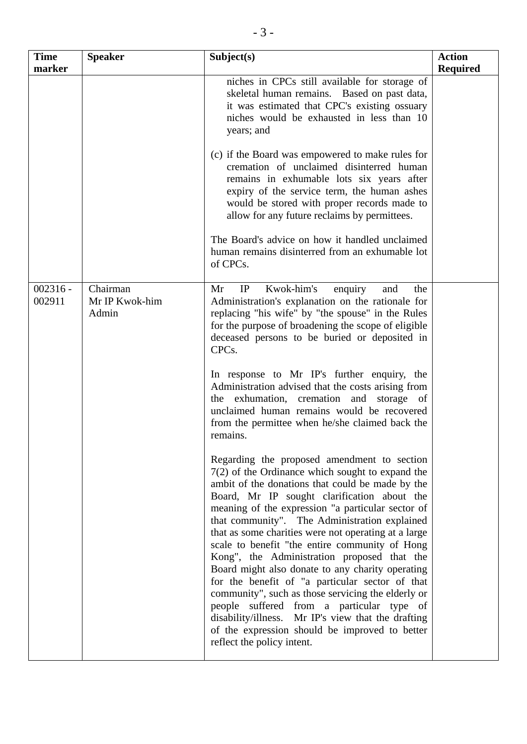| <b>Time</b><br>marker | <b>Speaker</b>                      | Subject(s)                                                                                                                                                                                                                                                                                                                                                                                                                                                                                                                                                                                                                                                                                                                                                                                                             | <b>Action</b><br><b>Required</b> |
|-----------------------|-------------------------------------|------------------------------------------------------------------------------------------------------------------------------------------------------------------------------------------------------------------------------------------------------------------------------------------------------------------------------------------------------------------------------------------------------------------------------------------------------------------------------------------------------------------------------------------------------------------------------------------------------------------------------------------------------------------------------------------------------------------------------------------------------------------------------------------------------------------------|----------------------------------|
|                       |                                     | niches in CPCs still available for storage of<br>skeletal human remains. Based on past data,<br>it was estimated that CPC's existing ossuary<br>niches would be exhausted in less than 10<br>years; and                                                                                                                                                                                                                                                                                                                                                                                                                                                                                                                                                                                                                |                                  |
|                       |                                     | (c) if the Board was empowered to make rules for<br>cremation of unclaimed disinterred human<br>remains in exhumable lots six years after<br>expiry of the service term, the human ashes<br>would be stored with proper records made to<br>allow for any future reclaims by permittees.                                                                                                                                                                                                                                                                                                                                                                                                                                                                                                                                |                                  |
|                       |                                     | The Board's advice on how it handled unclaimed<br>human remains disinterred from an exhumable lot<br>of CPCs.                                                                                                                                                                                                                                                                                                                                                                                                                                                                                                                                                                                                                                                                                                          |                                  |
| $002316 -$<br>002911  | Chairman<br>Mr IP Kwok-him<br>Admin | Kwok-him's<br>Mr<br>IP<br>enquiry<br>and<br>the<br>Administration's explanation on the rationale for<br>replacing "his wife" by "the spouse" in the Rules<br>for the purpose of broadening the scope of eligible<br>deceased persons to be buried or deposited in<br>CPCs.                                                                                                                                                                                                                                                                                                                                                                                                                                                                                                                                             |                                  |
|                       |                                     | In response to Mr IP's further enquiry, the<br>Administration advised that the costs arising from<br>exhumation, cremation and<br>storage of<br>the<br>unclaimed human remains would be recovered<br>from the permittee when he/she claimed back the<br>remains.                                                                                                                                                                                                                                                                                                                                                                                                                                                                                                                                                       |                                  |
|                       |                                     | Regarding the proposed amendment to section<br>$7(2)$ of the Ordinance which sought to expand the<br>ambit of the donations that could be made by the<br>Board, Mr IP sought clarification about the<br>meaning of the expression "a particular sector of<br>that community". The Administration explained<br>that as some charities were not operating at a large<br>scale to benefit "the entire community of Hong<br>Kong", the Administration proposed that the<br>Board might also donate to any charity operating<br>for the benefit of "a particular sector of that<br>community", such as those servicing the elderly or<br>people suffered from a particular type of<br>disability/illness.<br>Mr IP's view that the drafting<br>of the expression should be improved to better<br>reflect the policy intent. |                                  |
|                       |                                     |                                                                                                                                                                                                                                                                                                                                                                                                                                                                                                                                                                                                                                                                                                                                                                                                                        |                                  |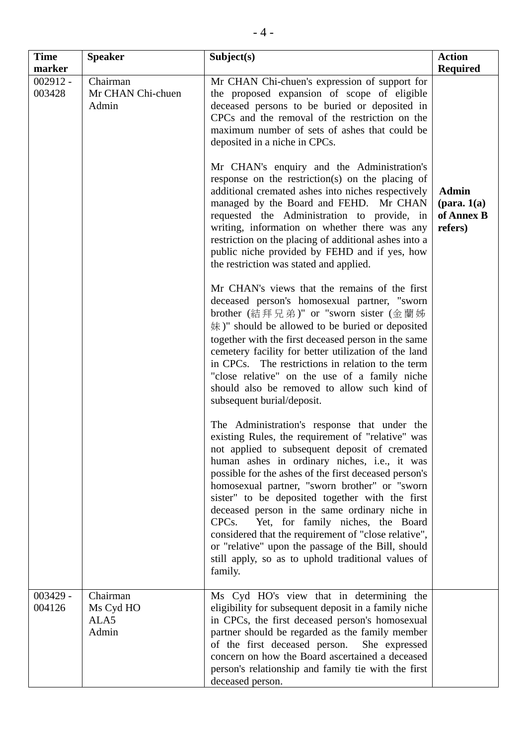| <b>Time</b><br>marker | <b>Speaker</b>                         | Subject(s)                                                                                                                                                                                                                                                                                                                                                                                                                                                                                                                                                                                                                                    | <b>Action</b><br><b>Required</b>                                |
|-----------------------|----------------------------------------|-----------------------------------------------------------------------------------------------------------------------------------------------------------------------------------------------------------------------------------------------------------------------------------------------------------------------------------------------------------------------------------------------------------------------------------------------------------------------------------------------------------------------------------------------------------------------------------------------------------------------------------------------|-----------------------------------------------------------------|
| $002912 -$<br>003428  | Chairman<br>Mr CHAN Chi-chuen<br>Admin | Mr CHAN Chi-chuen's expression of support for<br>the proposed expansion of scope of eligible<br>deceased persons to be buried or deposited in<br>CPCs and the removal of the restriction on the<br>maximum number of sets of ashes that could be<br>deposited in a niche in CPCs.                                                                                                                                                                                                                                                                                                                                                             |                                                                 |
|                       |                                        | Mr CHAN's enquiry and the Administration's<br>response on the restriction(s) on the placing of<br>additional cremated ashes into niches respectively<br>managed by the Board and FEHD. Mr CHAN<br>requested the Administration to provide, in<br>writing, information on whether there was any<br>restriction on the placing of additional ashes into a<br>public niche provided by FEHD and if yes, how<br>the restriction was stated and applied.                                                                                                                                                                                           | <b>Admin</b><br>$(\text{para. } 1(a))$<br>of Annex B<br>refers) |
|                       |                                        | Mr CHAN's views that the remains of the first<br>deceased person's homosexual partner, "sworn<br>brother (結拜兄弟)" or "sworn sister (金蘭姊<br>$k$ )" should be allowed to be buried or deposited<br>together with the first deceased person in the same<br>cemetery facility for better utilization of the land<br>in CPCs. The restrictions in relation to the term<br>"close relative" on the use of a family niche<br>should also be removed to allow such kind of<br>subsequent burial/deposit.                                                                                                                                               |                                                                 |
|                       |                                        | The Administration's response that under the<br>existing Rules, the requirement of "relative" was<br>not applied to subsequent deposit of cremated<br>human ashes in ordinary niches, i.e., it was<br>possible for the ashes of the first deceased person's<br>homosexual partner, "sworn brother" or "sworn<br>sister" to be deposited together with the first<br>deceased person in the same ordinary niche in<br>Yet, for family niches, the Board<br>CPCs.<br>considered that the requirement of "close relative",<br>or "relative" upon the passage of the Bill, should<br>still apply, so as to uphold traditional values of<br>family. |                                                                 |
| $003429 -$<br>004126  | Chairman<br>Ms Cyd HO<br>ALA5<br>Admin | Ms Cyd HO's view that in determining the<br>eligibility for subsequent deposit in a family niche<br>in CPCs, the first deceased person's homosexual<br>partner should be regarded as the family member<br>of the first deceased person.<br>She expressed<br>concern on how the Board ascertained a deceased<br>person's relationship and family tie with the first<br>deceased person.                                                                                                                                                                                                                                                        |                                                                 |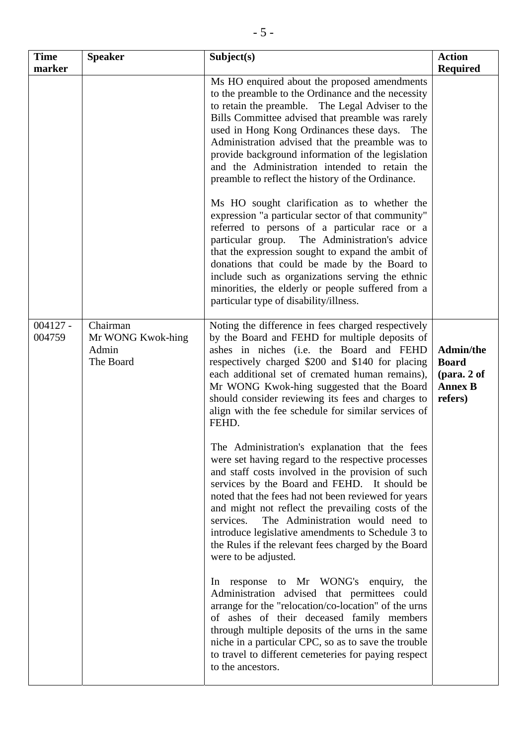| <b>Time</b><br>marker | <b>Speaker</b>                                      | Subject(s)                                                                                                                                                                                                                                                                                                                                                                                                                                                                                                 | <b>Action</b><br><b>Required</b>                                      |
|-----------------------|-----------------------------------------------------|------------------------------------------------------------------------------------------------------------------------------------------------------------------------------------------------------------------------------------------------------------------------------------------------------------------------------------------------------------------------------------------------------------------------------------------------------------------------------------------------------------|-----------------------------------------------------------------------|
|                       |                                                     | Ms HO enquired about the proposed amendments<br>to the preamble to the Ordinance and the necessity<br>to retain the preamble. The Legal Adviser to the<br>Bills Committee advised that preamble was rarely<br>used in Hong Kong Ordinances these days.<br>The<br>Administration advised that the preamble was to<br>provide background information of the legislation<br>and the Administration intended to retain the<br>preamble to reflect the history of the Ordinance.                                |                                                                       |
|                       |                                                     | Ms HO sought clarification as to whether the<br>expression "a particular sector of that community"<br>referred to persons of a particular race or a<br>particular group.<br>The Administration's advice<br>that the expression sought to expand the ambit of<br>donations that could be made by the Board to<br>include such as organizations serving the ethnic<br>minorities, the elderly or people suffered from a<br>particular type of disability/illness.                                            |                                                                       |
| $004127 -$<br>004759  | Chairman<br>Mr WONG Kwok-hing<br>Admin<br>The Board | Noting the difference in fees charged respectively<br>by the Board and FEHD for multiple deposits of<br>ashes in niches (i.e. the Board and FEHD<br>respectively charged \$200 and \$140 for placing<br>each additional set of cremated human remains),<br>Mr WONG Kwok-hing suggested that the Board<br>should consider reviewing its fees and charges to<br>align with the fee schedule for similar services of<br>FEHD.                                                                                 | Admin/the<br><b>Board</b><br>(para. 2 of<br><b>Annex B</b><br>refers) |
|                       |                                                     | The Administration's explanation that the fees<br>were set having regard to the respective processes<br>and staff costs involved in the provision of such<br>services by the Board and FEHD. It should be<br>noted that the fees had not been reviewed for years<br>and might not reflect the prevailing costs of the<br>services.<br>The Administration would need to<br>introduce legislative amendments to Schedule 3 to<br>the Rules if the relevant fees charged by the Board<br>were to be adjusted. |                                                                       |
|                       |                                                     | In response to Mr WONG's enquiry,<br>the<br>Administration advised that permittees could<br>arrange for the "relocation/co-location" of the urns<br>of ashes of their deceased family members<br>through multiple deposits of the urns in the same<br>niche in a particular CPC, so as to save the trouble<br>to travel to different cemeteries for paying respect<br>to the ancestors.                                                                                                                    |                                                                       |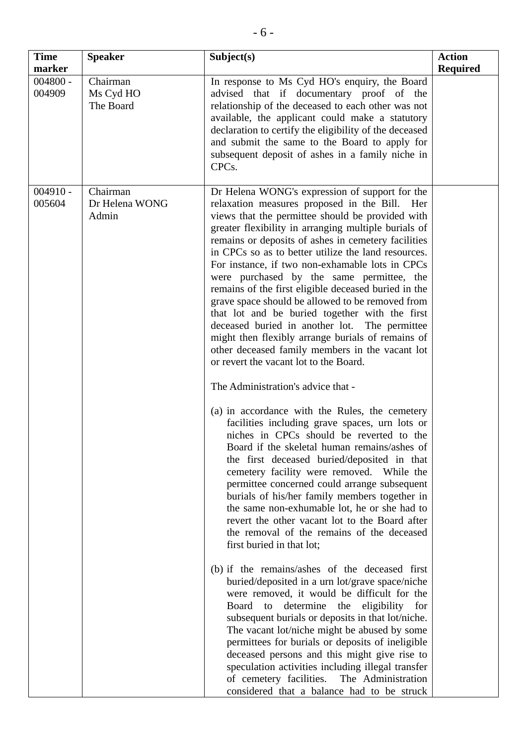| <b>Time</b><br>marker | <b>Speaker</b>                      | Subject(s)                                                                                                                                                                                                                                                                                                                                                                                                                                                                                                                                                                                                                                                                                                                                                                                                                                                                                                                                                                                                                                                                                                                                                                                                                                                                                                                                                                                                                                                                                                                                                                                                                                                                                                                                                                                                                                                                                                                                                               | <b>Action</b><br><b>Required</b> |
|-----------------------|-------------------------------------|--------------------------------------------------------------------------------------------------------------------------------------------------------------------------------------------------------------------------------------------------------------------------------------------------------------------------------------------------------------------------------------------------------------------------------------------------------------------------------------------------------------------------------------------------------------------------------------------------------------------------------------------------------------------------------------------------------------------------------------------------------------------------------------------------------------------------------------------------------------------------------------------------------------------------------------------------------------------------------------------------------------------------------------------------------------------------------------------------------------------------------------------------------------------------------------------------------------------------------------------------------------------------------------------------------------------------------------------------------------------------------------------------------------------------------------------------------------------------------------------------------------------------------------------------------------------------------------------------------------------------------------------------------------------------------------------------------------------------------------------------------------------------------------------------------------------------------------------------------------------------------------------------------------------------------------------------------------------------|----------------------------------|
| $004800 -$<br>004909  | Chairman<br>Ms Cyd HO<br>The Board  | In response to Ms Cyd HO's enquiry, the Board<br>advised that if documentary proof of the<br>relationship of the deceased to each other was not<br>available, the applicant could make a statutory<br>declaration to certify the eligibility of the deceased<br>and submit the same to the Board to apply for<br>subsequent deposit of ashes in a family niche in<br>CPC <sub>s</sub> .                                                                                                                                                                                                                                                                                                                                                                                                                                                                                                                                                                                                                                                                                                                                                                                                                                                                                                                                                                                                                                                                                                                                                                                                                                                                                                                                                                                                                                                                                                                                                                                  |                                  |
| $004910 -$<br>005604  | Chairman<br>Dr Helena WONG<br>Admin | Dr Helena WONG's expression of support for the<br>relaxation measures proposed in the Bill.<br>Her<br>views that the permittee should be provided with<br>greater flexibility in arranging multiple burials of<br>remains or deposits of ashes in cemetery facilities<br>in CPCs so as to better utilize the land resources.<br>For instance, if two non-exhamable lots in CPCs<br>were purchased by the same permittee, the<br>remains of the first eligible deceased buried in the<br>grave space should be allowed to be removed from<br>that lot and be buried together with the first<br>deceased buried in another lot. The permittee<br>might then flexibly arrange burials of remains of<br>other deceased family members in the vacant lot<br>or revert the vacant lot to the Board.<br>The Administration's advice that -<br>(a) in accordance with the Rules, the cemetery<br>facilities including grave spaces, urn lots or<br>niches in CPCs should be reverted to the<br>Board if the skeletal human remains/ashes of<br>the first deceased buried/deposited in that<br>cemetery facility were removed. While the<br>permittee concerned could arrange subsequent<br>burials of his/her family members together in<br>the same non-exhumable lot, he or she had to<br>revert the other vacant lot to the Board after<br>the removal of the remains of the deceased<br>first buried in that lot;<br>(b) if the remains/ashes of the deceased first<br>buried/deposited in a urn lot/grave space/niche<br>were removed, it would be difficult for the<br>Board to determine the<br>eligibility for<br>subsequent burials or deposits in that lot/niche.<br>The vacant lot/niche might be abused by some<br>permittees for burials or deposits of ineligible<br>deceased persons and this might give rise to<br>speculation activities including illegal transfer<br>of cemetery facilities. The Administration<br>considered that a balance had to be struck |                                  |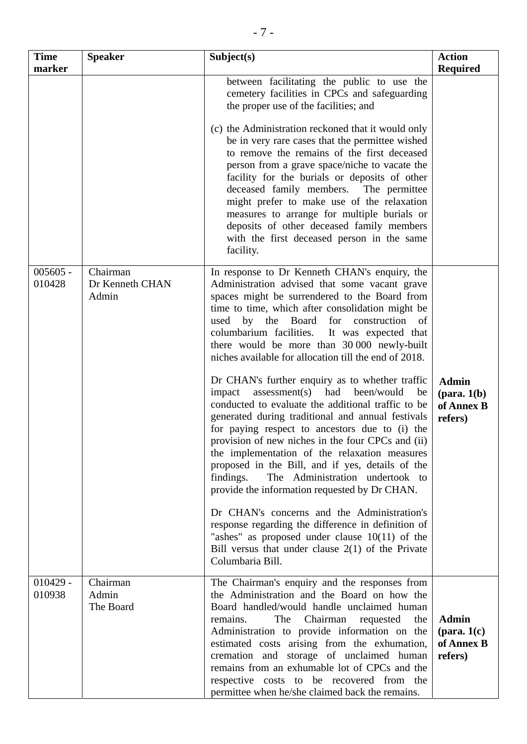| <b>Time</b><br>marker | <b>Speaker</b>                       | Subject(s)                                                                                                                                                                                                                                                                                                                                                                                                                                                                                                                                                               | <b>Action</b><br><b>Required</b>                                |
|-----------------------|--------------------------------------|--------------------------------------------------------------------------------------------------------------------------------------------------------------------------------------------------------------------------------------------------------------------------------------------------------------------------------------------------------------------------------------------------------------------------------------------------------------------------------------------------------------------------------------------------------------------------|-----------------------------------------------------------------|
|                       |                                      | between facilitating the public to use the<br>cemetery facilities in CPCs and safeguarding<br>the proper use of the facilities; and                                                                                                                                                                                                                                                                                                                                                                                                                                      |                                                                 |
|                       |                                      | (c) the Administration reckoned that it would only<br>be in very rare cases that the permittee wished<br>to remove the remains of the first deceased<br>person from a grave space/niche to vacate the<br>facility for the burials or deposits of other<br>deceased family members. The permittee<br>might prefer to make use of the relaxation<br>measures to arrange for multiple burials or<br>deposits of other deceased family members<br>with the first deceased person in the same<br>facility.                                                                    |                                                                 |
| $005605 -$<br>010428  | Chairman<br>Dr Kenneth CHAN<br>Admin | In response to Dr Kenneth CHAN's enquiry, the<br>Administration advised that some vacant grave<br>spaces might be surrendered to the Board from<br>time to time, which after consolidation might be<br>used by the Board for construction of<br>columbarium facilities.<br>It was expected that<br>there would be more than 30 000 newly-built<br>niches available for allocation till the end of 2018.                                                                                                                                                                  |                                                                 |
|                       |                                      | Dr CHAN's further enquiry as to whether traffic<br>$assessment(s)$ had been/would<br>impact<br>be<br>conducted to evaluate the additional traffic to be<br>generated during traditional and annual festivals<br>for paying respect to ancestors due to (i) the<br>provision of new niches in the four CPCs and (ii)<br>the implementation of the relaxation measures<br>proposed in the Bill, and if yes, details of the<br>findings.<br>The Administration undertook to<br>provide the information requested by Dr CHAN.<br>Dr CHAN's concerns and the Administration's | <b>Admin</b><br>$(\text{para. } 1(b))$<br>of Annex B<br>refers) |
|                       |                                      | response regarding the difference in definition of<br>"ashes" as proposed under clause $10(11)$ of the<br>Bill versus that under clause $2(1)$ of the Private<br>Columbaria Bill.                                                                                                                                                                                                                                                                                                                                                                                        |                                                                 |
| $010429 -$<br>010938  | Chairman<br>Admin<br>The Board       | The Chairman's enquiry and the responses from<br>the Administration and the Board on how the<br>Board handled/would handle unclaimed human<br>Chairman<br>remains.<br>The<br>the<br>requested<br>Administration to provide information on the<br>estimated costs arising from the exhumation,<br>cremation and storage of unclaimed human<br>remains from an exhumable lot of CPCs and the<br>respective costs to be recovered from the<br>permittee when he/she claimed back the remains.                                                                               | <b>Admin</b><br>$(\text{para. } 1(c))$<br>of Annex B<br>refers) |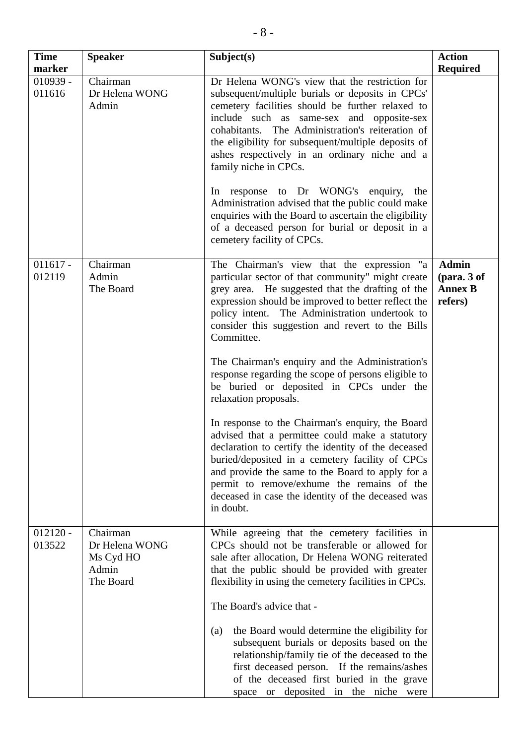| <b>Time</b><br>marker | <b>Speaker</b>                                                | Subject(s)                                                                                                                                                                                                                                                                                                                                                                                                                                                                                                                                                                                                                                                                                                                                                                                                                                                                                         | <b>Action</b><br><b>Required</b>                         |
|-----------------------|---------------------------------------------------------------|----------------------------------------------------------------------------------------------------------------------------------------------------------------------------------------------------------------------------------------------------------------------------------------------------------------------------------------------------------------------------------------------------------------------------------------------------------------------------------------------------------------------------------------------------------------------------------------------------------------------------------------------------------------------------------------------------------------------------------------------------------------------------------------------------------------------------------------------------------------------------------------------------|----------------------------------------------------------|
| $010939 -$<br>011616  | Chairman<br>Dr Helena WONG<br>Admin                           | Dr Helena WONG's view that the restriction for<br>subsequent/multiple burials or deposits in CPCs'<br>cemetery facilities should be further relaxed to<br>include such as same-sex and opposite-sex<br>cohabitants. The Administration's reiteration of<br>the eligibility for subsequent/multiple deposits of<br>ashes respectively in an ordinary niche and a<br>family niche in CPCs.<br>In response to Dr WONG's enquiry,<br>the<br>Administration advised that the public could make<br>enquiries with the Board to ascertain the eligibility<br>of a deceased person for burial or deposit in a<br>cemetery facility of CPCs.                                                                                                                                                                                                                                                                |                                                          |
| $011617 -$<br>012119  | Chairman<br>Admin<br>The Board                                | The Chairman's view that the expression "a<br>particular sector of that community" might create<br>grey area. He suggested that the drafting of the<br>expression should be improved to better reflect the<br>policy intent. The Administration undertook to<br>consider this suggestion and revert to the Bills<br>Committee.<br>The Chairman's enquiry and the Administration's<br>response regarding the scope of persons eligible to<br>be buried or deposited in CPCs under the<br>relaxation proposals.<br>In response to the Chairman's enquiry, the Board<br>advised that a permittee could make a statutory<br>declaration to certify the identity of the deceased<br>buried/deposited in a cemetery facility of CPCs<br>and provide the same to the Board to apply for a<br>permit to remove/exhume the remains of the<br>deceased in case the identity of the deceased was<br>in doubt. | <b>Admin</b><br>(para. 3 of<br><b>Annex B</b><br>refers) |
| $012120 -$<br>013522  | Chairman<br>Dr Helena WONG<br>Ms Cyd HO<br>Admin<br>The Board | While agreeing that the cemetery facilities in<br>CPCs should not be transferable or allowed for<br>sale after allocation, Dr Helena WONG reiterated<br>that the public should be provided with greater<br>flexibility in using the cemetery facilities in CPCs.<br>The Board's advice that -<br>the Board would determine the eligibility for<br>(a)<br>subsequent burials or deposits based on the<br>relationship/family tie of the deceased to the<br>first deceased person. If the remains/ashes<br>of the deceased first buried in the grave<br>space or deposited in the niche were                                                                                                                                                                                                                                                                                                         |                                                          |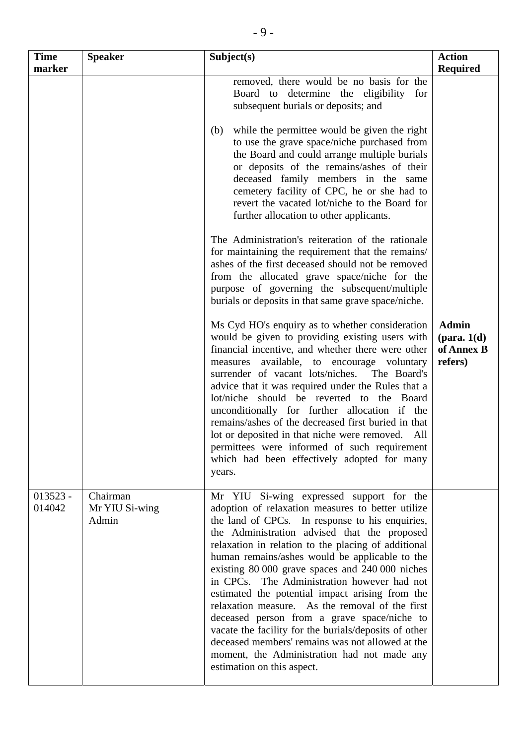| <b>Time</b><br>marker | <b>Speaker</b>                      | Subject(s)                                                                                                                                                                                                                                                                                                                                                                                                                                                                                                                                                                                                                                                                                                                                                 | <b>Action</b><br><b>Required</b>                                |
|-----------------------|-------------------------------------|------------------------------------------------------------------------------------------------------------------------------------------------------------------------------------------------------------------------------------------------------------------------------------------------------------------------------------------------------------------------------------------------------------------------------------------------------------------------------------------------------------------------------------------------------------------------------------------------------------------------------------------------------------------------------------------------------------------------------------------------------------|-----------------------------------------------------------------|
|                       |                                     | removed, there would be no basis for the<br>Board to determine the eligibility for<br>subsequent burials or deposits; and<br>while the permittee would be given the right<br>(b)<br>to use the grave space/niche purchased from<br>the Board and could arrange multiple burials<br>or deposits of the remains/ashes of their<br>deceased family members in the same<br>cemetery facility of CPC, he or she had to<br>revert the vacated lot/niche to the Board for                                                                                                                                                                                                                                                                                         |                                                                 |
|                       |                                     | further allocation to other applicants.<br>The Administration's reiteration of the rationale<br>for maintaining the requirement that the remains/<br>ashes of the first deceased should not be removed<br>from the allocated grave space/niche for the<br>purpose of governing the subsequent/multiple<br>burials or deposits in that same grave space/niche.                                                                                                                                                                                                                                                                                                                                                                                              |                                                                 |
|                       |                                     | Ms Cyd HO's enquiry as to whether consideration<br>would be given to providing existing users with<br>financial incentive, and whether there were other<br>available, to encourage voluntary<br>measures<br>surrender of vacant lots/niches.<br>The Board's<br>advice that it was required under the Rules that a<br>lot/niche should be reverted to the Board<br>unconditionally for further allocation if the<br>remains/ashes of the decreased first buried in that<br>lot or deposited in that niche were removed. All<br>permittees were informed of such requirement<br>which had been effectively adopted for many<br>years.                                                                                                                        | <b>Admin</b><br>$(\text{para. } 1(d))$<br>of Annex B<br>refers) |
| $013523 -$<br>014042  | Chairman<br>Mr YIU Si-wing<br>Admin | Mr YIU Si-wing expressed support for the<br>adoption of relaxation measures to better utilize<br>the land of CPCs. In response to his enquiries,<br>the Administration advised that the proposed<br>relaxation in relation to the placing of additional<br>human remains/ashes would be applicable to the<br>existing 80 000 grave spaces and 240 000 niches<br>in CPCs. The Administration however had not<br>estimated the potential impact arising from the<br>relaxation measure. As the removal of the first<br>deceased person from a grave space/niche to<br>vacate the facility for the burials/deposits of other<br>deceased members' remains was not allowed at the<br>moment, the Administration had not made any<br>estimation on this aspect. |                                                                 |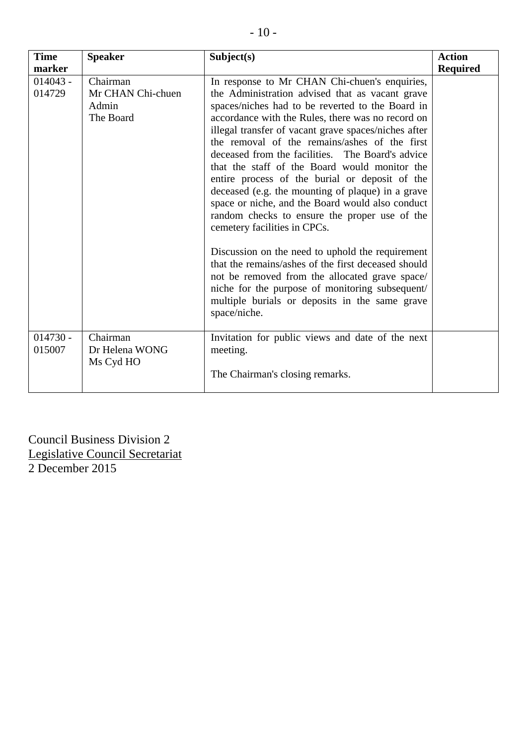| $\overline{\phantom{a}}$ |  |
|--------------------------|--|
|--------------------------|--|

| <b>Time</b>          | <b>Speaker</b>                                      | Subject(s)                                                                                                                                                                                                                                                                                                                                                                                                                                                                                                                                                                                                                                                                                                                                                                                                                                                                                                                                            | <b>Action</b>   |
|----------------------|-----------------------------------------------------|-------------------------------------------------------------------------------------------------------------------------------------------------------------------------------------------------------------------------------------------------------------------------------------------------------------------------------------------------------------------------------------------------------------------------------------------------------------------------------------------------------------------------------------------------------------------------------------------------------------------------------------------------------------------------------------------------------------------------------------------------------------------------------------------------------------------------------------------------------------------------------------------------------------------------------------------------------|-----------------|
| marker               |                                                     |                                                                                                                                                                                                                                                                                                                                                                                                                                                                                                                                                                                                                                                                                                                                                                                                                                                                                                                                                       | <b>Required</b> |
| $014043 -$<br>014729 | Chairman<br>Mr CHAN Chi-chuen<br>Admin<br>The Board | In response to Mr CHAN Chi-chuen's enquiries,<br>the Administration advised that as vacant grave<br>spaces/niches had to be reverted to the Board in<br>accordance with the Rules, there was no record on<br>illegal transfer of vacant grave spaces/niches after<br>the removal of the remains/ashes of the first<br>deceased from the facilities. The Board's advice<br>that the staff of the Board would monitor the<br>entire process of the burial or deposit of the<br>deceased (e.g. the mounting of plaque) in a grave<br>space or niche, and the Board would also conduct<br>random checks to ensure the proper use of the<br>cemetery facilities in CPCs.<br>Discussion on the need to uphold the requirement<br>that the remains/ashes of the first deceased should<br>not be removed from the allocated grave space/<br>niche for the purpose of monitoring subsequent/<br>multiple burials or deposits in the same grave<br>space/niche. |                 |
| $014730 -$<br>015007 | Chairman<br>Dr Helena WONG<br>Ms Cyd HO             | Invitation for public views and date of the next<br>meeting.<br>The Chairman's closing remarks.                                                                                                                                                                                                                                                                                                                                                                                                                                                                                                                                                                                                                                                                                                                                                                                                                                                       |                 |

Council Business Division 2 Legislative Council Secretariat 2 December 2015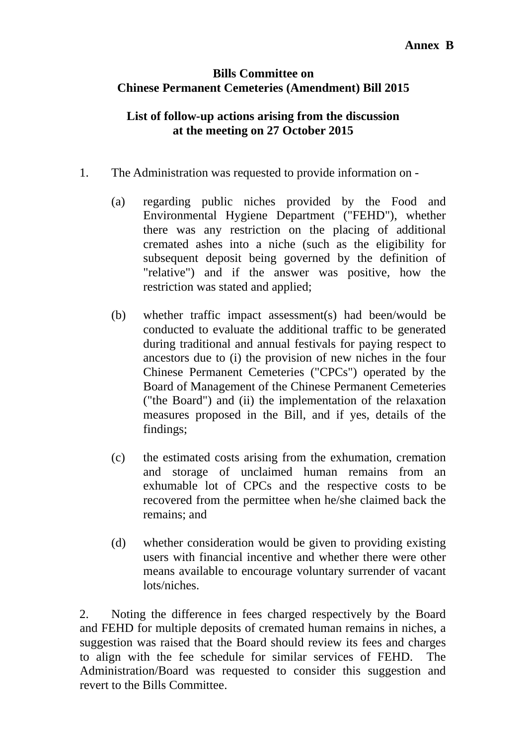### **Annex B**

# **Bills Committee on Chinese Permanent Cemeteries (Amendment) Bill 2015**

# **List of follow-up actions arising from the discussion at the meeting on 27 October 2015**

- 1. The Administration was requested to provide information on
	- (a) regarding public niches provided by the Food and Environmental Hygiene Department ("FEHD"), whether there was any restriction on the placing of additional cremated ashes into a niche (such as the eligibility for subsequent deposit being governed by the definition of "relative") and if the answer was positive, how the restriction was stated and applied;
	- (b) whether traffic impact assessment(s) had been/would be conducted to evaluate the additional traffic to be generated during traditional and annual festivals for paying respect to ancestors due to (i) the provision of new niches in the four Chinese Permanent Cemeteries ("CPCs") operated by the Board of Management of the Chinese Permanent Cemeteries ("the Board") and (ii) the implementation of the relaxation measures proposed in the Bill, and if yes, details of the findings;
	- (c) the estimated costs arising from the exhumation, cremation and storage of unclaimed human remains from an exhumable lot of CPCs and the respective costs to be recovered from the permittee when he/she claimed back the remains; and
	- (d) whether consideration would be given to providing existing users with financial incentive and whether there were other means available to encourage voluntary surrender of vacant lots/niches.

2. Noting the difference in fees charged respectively by the Board and FEHD for multiple deposits of cremated human remains in niches, a suggestion was raised that the Board should review its fees and charges to align with the fee schedule for similar services of FEHD. The Administration/Board was requested to consider this suggestion and revert to the Bills Committee.